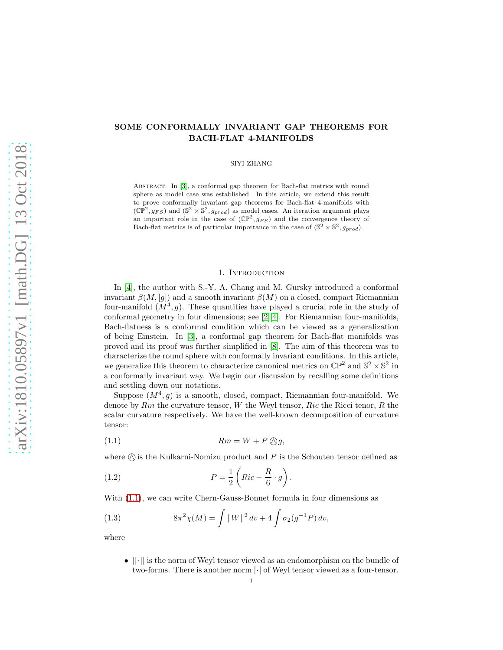# SOME CONFORMALLY INVARIANT GAP THEOREMS FOR BACH-FLAT 4-MANIFOLDS

### SIYI ZHANG

ABSTRACT. In [\[3\]](#page-10-0), a conformal gap theorem for Bach-flat metrics with round sphere as model case was established. In this article, we extend this result to prove conformally invariant gap theorems for Bach-flat 4-manifolds with  $(\mathbb{CP}^2, g_{FS})$  and  $(\mathbb{S}^2 \times \mathbb{S}^2, g_{prod})$  as model cases. An iteration argument plays an important role in the case of  $(\mathbb{CP}^2, g_{FS})$  and the convergence theory of Bach-flat metrics is of particular importance in the case of  $(\mathbb{S}^2 \times \mathbb{S}^2, g_{prod})$ .

### 1. INTRODUCTION

In [\[4\]](#page-10-1), the author with S.-Y. A. Chang and M. Gursky introduced a conformal invariant  $\beta(M, [g])$  and a smooth invariant  $\beta(M)$  on a closed, compact Riemannian four-manifold  $(M^4, g)$ . These quantities have played a crucial role in the study of conformal geometry in four dimensions; see [\[2\]](#page-10-2)[\[4\]](#page-10-1). For Riemannian four-manifolds, Bach-flatness is a conformal condition which can be viewed as a generalization of being Einstein. In [\[3\]](#page-10-0), a conformal gap theorem for Bach-flat manifolds was proved and its proof was further simplified in [\[8\]](#page-10-3). The aim of this theorem was to characterize the round sphere with conformally invariant conditions. In this article, we generalize this theorem to characterize canonical metrics on  $\mathbb{CP}^2$  and  $\mathbb{S}^2 \times \mathbb{S}^2$  in a conformally invariant way. We begin our discussion by recalling some definitions and settling down our notations.

Suppose  $(M^4, g)$  is a smooth, closed, compact, Riemannian four-manifold. We denote by  $Rm$  the curvature tensor, W the Weyl tensor,  $Ric$  the Ricci tenor, R the scalar curvature respectively. We have the well-known decomposition of curvature tensor:

<span id="page-0-0"></span>
$$
(1.1) \t Rm = W + P \bigcirc g,
$$

where  $\oslash$  is the Kulkarni-Nomizu product and P is the Schouten tensor defined as

(1.2) 
$$
P = \frac{1}{2} \left( Ric - \frac{R}{6} \cdot g \right).
$$

With [\(1.1\)](#page-0-0), we can write Chern-Gauss-Bonnet formula in four dimensions as

(1.3) 
$$
8\pi^2 \chi(M) = \int ||W||^2 dv + 4 \int \sigma_2(g^{-1}P) dv,
$$

where

 $\bullet$   $||\cdot||$  is the norm of Weyl tensor viewed as an endomorphism on the bundle of two-forms. There is another norm  $\lvert \cdot \rvert$  of Weyl tensor viewed as a four-tensor.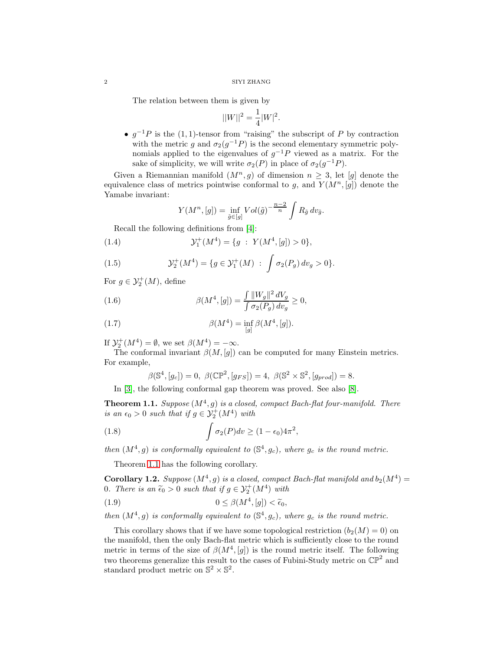#### $2\,$  SIYI ZHANG

The relation between them is given by

$$
||W||^2 = \frac{1}{4}|W|^2.
$$

•  $g^{-1}P$  is the (1, 1)-tensor from "raising" the subscript of P by contraction with the metric g and  $\sigma_2(g^{-1}P)$  is the second elementary symmetric polynomials applied to the eigenvalues of  $g^{-1}P$  viewed as a matrix. For the sake of simplicity, we will write  $\sigma_2(P)$  in place of  $\sigma_2(g^{-1}P)$ .

Given a Riemannian manifold  $(M^n, g)$  of dimension  $n \geq 3$ , let [g] denote the equivalence class of metrics pointwise conformal to g, and  $Y(M^n, [g])$  denote the Yamabe invariant:

$$
Y(M^n, [g]) = \inf_{\tilde{g} \in [g]} Vol(\tilde{g})^{-\frac{n-2}{n}} \int R_{\tilde{g}} dv_{\tilde{g}}.
$$

Recall the following definitions from [\[4\]](#page-10-1):

(1.4) 
$$
\mathcal{Y}_1^+(M^4) = \{g : Y(M^4, [g]) > 0\},
$$

(1.5) 
$$
\mathcal{Y}_2^+(M^4) = \{ g \in \mathcal{Y}_1^+(M) : \int \sigma_2(P_g) dv_g > 0 \}.
$$

For  $g \in \mathcal{Y}_2^+(M)$ , define

(1.6) 
$$
\beta(M^4, [g]) = \frac{\int ||W_g||^2 dV_g}{\int \sigma_2(P_g) dv_g} \ge 0,
$$

(1.7) 
$$
\beta(M^4) = \inf_{[g]} \beta(M^4, [g]).
$$

If  $\mathcal{Y}_2^+(M^4) = \emptyset$ , we set  $\beta(M^4) = -\infty$ .

The conformal invariant  $\beta(M, [g])$  can be computed for many Einstein metrics. For example,

$$
\beta(\mathbb{S}^4, [g_c]) = 0, \ \beta(\mathbb{CP}^2, [g_{FS}]) = 4, \ \beta(\mathbb{S}^2 \times \mathbb{S}^2, [g_{prod}]) = 8.
$$

In [\[3\]](#page-10-0), the following conformal gap theorem was proved. See also [\[8\]](#page-10-3).

<span id="page-1-0"></span>**Theorem 1.1.** Suppose  $(M^4, g)$  is a closed, compact Bach-flat four-manifold. There is an  $\epsilon_0 > 0$  such that if  $g \in \mathcal{Y}_2^+(M^4)$  with

,

(1.8) 
$$
\int \sigma_2(P) dv \ge (1 - \epsilon_0) 4\pi^2
$$

then  $(M^4, g)$  is conformally equivalent to  $(\mathbb{S}^4, g_c)$ , where  $g_c$  is the round metric.

Theorem [1.1](#page-1-0) has the following corollary.

**Corollary 1.2.** Suppose  $(M^4, g)$  is a closed, compact Bach-flat manifold and  $b_2(M^4)$  = 0. There is an  $\tilde{\epsilon}_0 > 0$  such that if  $g \in \mathcal{Y}_2^+(M^4)$  with

(1.9) 
$$
0 \leq \beta(M^4, [g]) < \widetilde{\epsilon}_0,
$$

then  $(M^4, g)$  is conformally equivalent to  $(\mathbb{S}^4, g_c)$ , where  $g_c$  is the round metric.

This corollary shows that if we have some topological restriction  $(b_2(M) = 0)$  on the manifold, then the only Bach-flat metric which is sufficiently close to the round metric in terms of the size of  $\beta(M^4, [g])$  is the round metric itself. The following two theorems generalize this result to the cases of Fubini-Study metric on  $\mathbb{CP}^2$  and standard product metric on  $\mathbb{S}^2 \times \mathbb{S}^2$ .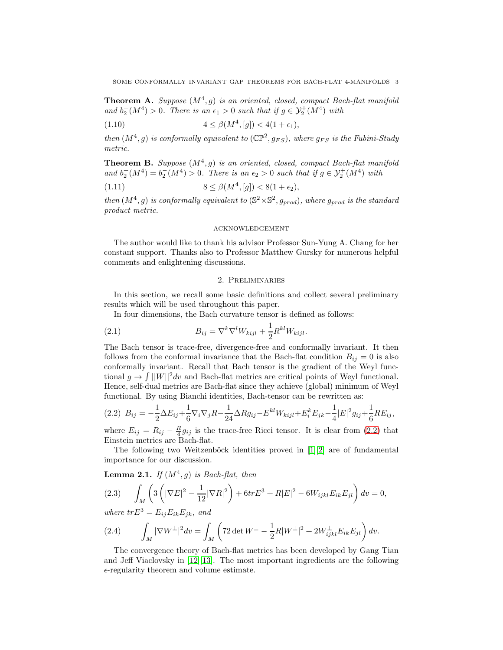**Theorem A.** Suppose  $(M^4, g)$  is an oriented, closed, compact Bach-flat manifold and  $b_2^+(M^4) > 0$ . There is an  $\epsilon_1 > 0$  such that if  $g \in \mathcal{Y}_2^+(M^4)$  with

(1.10) 
$$
4 \leq \beta(M^4, [g]) < 4(1 + \epsilon_1),
$$

then  $(M^4, g)$  is conformally equivalent to  $(\mathbb{CP}^2, g_{FS})$ , where  $g_{FS}$  is the Fubini-Study metric.

**Theorem B.** Suppose  $(M^4, g)$  is an oriented, closed, compact Bach-flat manifold and  $b_2^+(M^4) = b_2^-(M^4) > 0$ . There is an  $\epsilon_2 > 0$  such that if  $g \in \mathcal{Y}_2^+(M^4)$  with

(1.11) 
$$
8 \le \beta(M^4, [g]) < 8(1 + \epsilon_2),
$$

then  $(M^4, g)$  is conformally equivalent to  $(\mathbb{S}^2 \times \mathbb{S}^2, g_{prod})$ , where  $g_{prod}$  is the standard product metric.

### acknowledgement

The author would like to thank his advisor Professor Sun-Yung A. Chang for her constant support. Thanks also to Professor Matthew Gursky for numerous helpful comments and enlightening discussions.

# 2. Preliminaries

In this section, we recall some basic definitions and collect several preliminary results which will be used throughout this paper.

In four dimensions, the Bach curvature tensor is defined as follows:

(2.1) 
$$
B_{ij} = \nabla^k \nabla^l W_{kijl} + \frac{1}{2} R^{kl} W_{kijl}.
$$

The Bach tensor is trace-free, divergence-free and conformally invariant. It then follows from the conformal invariance that the Bach-flat condition  $B_{ij} = 0$  is also conformally invariant. Recall that Bach tensor is the gradient of the Weyl functional  $g \to \int ||W||^2 dv$  and Bach-flat metrics are critical points of Weyl functional. Hence, self-dual metrics are Bach-flat since they achieve (global) minimum of Weyl functional. By using Bianchi identities, Bach-tensor can be rewritten as:

<span id="page-2-0"></span>
$$
(2.2) \ B_{ij} = -\frac{1}{2}\Delta E_{ij} + \frac{1}{6}\nabla_i\nabla_j R - \frac{1}{24}\Delta R g_{ij} - E^{kl}W_{kijl} + E^k_i E_{jk} - \frac{1}{4}|E|^2 g_{ij} + \frac{1}{6}RE_{ij},
$$

where  $E_{ij} = R_{ij} - \frac{R}{4} g_{ij}$  is the trace-free Ricci tensor. It is clear from [\(2.2\)](#page-2-0) that Einstein metrics are Bach-flat.

The following two Weitzenböck identities proved in  $[1][2]$  $[1][2]$  are of fundamental importance for our discussion.

**Lemma 2.1.** If  $(M^4, g)$  is Bach-flat, then

<span id="page-2-1"></span>
$$
(2.3) \qquad \int_M \left( 3\left( |\nabla E|^2 - \frac{1}{12} |\nabla R|^2 \right) + 6tr E^3 + R|E|^2 - 6W_{ijkl} E_{ik} E_{jl} \right) dv = 0,
$$

where  $trE^3 = E_{ij}E_{ik}E_{jk}$ , and

<span id="page-2-2"></span>(2.4) 
$$
\int_M |\nabla W^{\pm}|^2 dv = \int_M \left( 72 \det W^{\pm} - \frac{1}{2} R |W^{\pm}|^2 + 2 W^{\pm}_{ijkl} E_{ik} E_{jl} \right) dv.
$$

The convergence theory of Bach-flat metrics has been developed by Gang Tian and Jeff Viaclovsky in  $[12][13]$  $[12][13]$ . The most important ingredients are the following  $\epsilon$ -regularity theorem and volume estimate.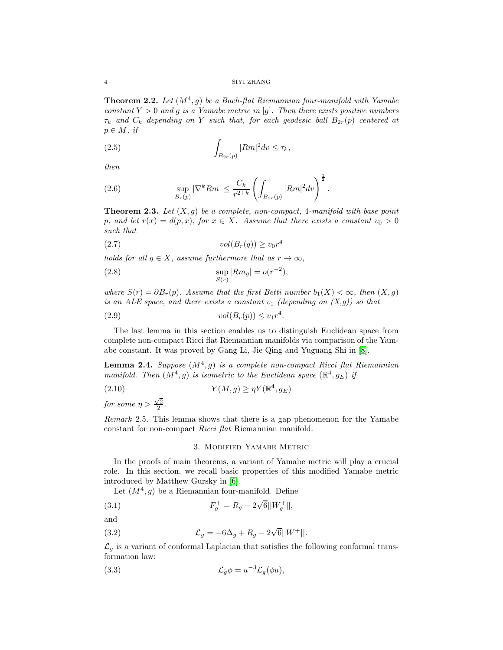4 SIYI ZHANG

**Theorem 2.2.** Let  $(M^4, g)$  be a Bach-flat Riemannian four-manifold with Yamabe constant  $Y > 0$  and g is a Yamabe metric in [g]. Then there exists positive numbers  $\tau_k$  and  $C_k$  depending on Y such that, for each geodesic ball  $B_{2r}(p)$  centered at  $p \in M$ , if

$$
\int_{B_{2r}(p)} |Rm|^2 dv \le \tau_k,
$$

then

(2.6) 
$$
\sup_{B_r(p)} |\nabla^k Rm| \leq \frac{C_k}{r^{2+k}} \left( \int_{B_{2r}(p)} |Rm|^2 dv \right)^{\frac{1}{2}}.
$$

**Theorem 2.3.** Let  $(X, g)$  be a complete, non-compact, 4-manifold with base point p, and let  $r(x) = d(p, x)$ , for  $x \in X$ . Assume that there exists a constant  $v_0 > 0$ such that

$$
(2.7) \t\t vol(B_r(q)) \ge v_0 r^4
$$

holds for all  $q \in X$ , assume furthermore that as  $r \to \infty$ ,

(2.8) 
$$
\sup_{S(r)} |Rm_g| = o(r^{-2}),
$$

where  $S(r) = \partial B_r(p)$ . Assume that the first Betti number  $b_1(X) < \infty$ , then  $(X, g)$ is an ALE space, and there exists a constant  $v_1$  (depending on  $(X,g)$ ) so that

$$
(2.9) \t\t vol(B_r(p)) \le v_1 r^4.
$$

The last lemma in this section enables us to distinguish Euclidean space from complete non-compact Ricci flat Riemannian manifolds via comparison of the Yamabe constant. It was proved by Gang Li, Jie Qing and Yuguang Shi in [\[8\]](#page-10-3).

<span id="page-3-0"></span>**Lemma 2.4.** Suppose  $(M^4, g)$  is a complete non-compact Ricci flat Riemannian manifold. Then  $(M^4, g)$  is isometric to the Euclidean space  $(\mathbb{R}^4, g_E)$  if

(2.10) 
$$
Y(M,g) \geq \eta Y(\mathbb{R}^4, g_E)
$$

for some  $\eta > \frac{\sqrt{2}}{2}$ .

Remark 2.5. This lemma shows that there is a gap phenomenon for the Yamabe constant for non-compact Ricci flat Riemannian manifold.

### 3. Modified Yamabe Metric

In the proofs of main theorems, a variant of Yamabe metric will play a crucial role. In this section, we recall basic properties of this modified Yamabe metric introduced by Matthew Gursky in [\[6\]](#page-10-7).

Let  $(M^4, g)$  be a Riemannian four-manifold. Define

(3.1) 
$$
F_g^+ = R_g - 2\sqrt{6}||W_g^+||,
$$

and

(3.2) 
$$
\mathcal{L}_g = -6\Delta_g + R_g - 2\sqrt{6}||W^+||.
$$

 $\mathcal{L}_g$  is a variant of conformal Laplacian that satisfies the following conformal transformation law:

(3.3) 
$$
\mathcal{L}_{\tilde{g}}\phi = u^{-3}\mathcal{L}_g(\phi u),
$$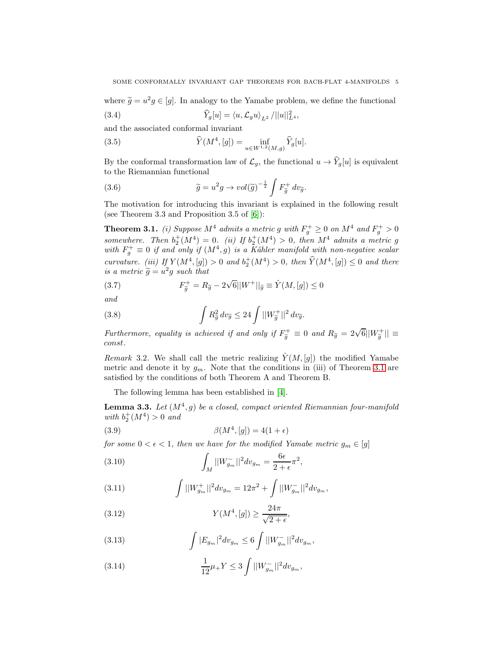where  $\tilde{g} = u^2 g \in [g]$ . In analogy to the Yamabe problem, we define the functional (3.4)  $\widehat{Y}_g[u] = \langle u, \mathcal{L}_g u \rangle_{L^2} / ||u||_{L^4}^2,$ 

and the associated conformal invariant

(3.5) 
$$
\widehat{Y}(M^4, [g]) = \inf_{u \in W^{1,2}(M,g)} \widehat{Y}_g[u].
$$

By the conformal transformation law of  $\mathcal{L}_g$ , the functional  $u \to \widehat{Y}_g[u]$  is equivalent to the Riemannian functional

(3.6) 
$$
\widetilde{g} = u^2 g \to vol(\widetilde{g})^{-\frac{1}{2}} \int F_{\widetilde{g}}^+ dv_{\widetilde{g}}.
$$

The motivation for introducing this invariant is explained in the following result (see Theorem 3.3 and Proposition 3.5 of [\[6\]](#page-10-7)):

<span id="page-4-0"></span>**Theorem 3.1.** (i) Suppose  $M^4$  admits a metric g with  $F_g^+ \geq 0$  on  $M^4$  and  $F_g^+ > 0$ somewhere. Then  $b_2^+(M^4) = 0$ . (ii) If  $b_2^+(M^4) > 0$ , then  $M^4$  admits a metric g with  $F_g^+ \equiv 0$  if and only if  $(M^4, g)$  is a Kähler manifold with non-negative scalar curvature. (iii) If  $Y(M^4, [g]) > 0$  and  $b_2^+(M^4) > 0$ , then  $\hat{Y}(M^4, [g]) \leq 0$  and there is a metric  $\widetilde{g} = u^2 g$  such that

(3.7) 
$$
F_{\widetilde{g}}^{+} = R_{\widetilde{g}} - 2\sqrt{6}||W^{+}||_{\widetilde{g}} \equiv \hat{Y}(M, [g]) \leq 0
$$

and

(3.8) 
$$
\int R_{\tilde{g}}^2 dv_{\tilde{g}} \leq 24 \int ||W_{\tilde{g}}^+||^2 dv_{\tilde{g}}.
$$

Furthermore, equality is achieved if and only if  $F_{\tilde{g}}^+ \equiv 0$  and  $R_{\tilde{g}} = 2\sqrt{6}||W_{\tilde{g}}^+|| \equiv$ const.

Remark 3.2. We shall call the metric realizing  $\hat{Y}(M,[g])$  the modified Yamabe metric and denote it by  $g_m$ . Note that the conditions in (iii) of Theorem [3.1](#page-4-0) are satisfied by the conditions of both Theorem A and Theorem B.

The following lemma has been established in [\[4\]](#page-10-1).

<span id="page-4-1"></span>**Lemma 3.3.** Let  $(M^4, g)$  be a closed, compact oriented Riemannian four-manifold with  $b_2^+(M^4) > 0$  and

(3.9) 
$$
\beta(M^4, [g]) = 4(1 + \epsilon)
$$

for some  $0 < \epsilon < 1$ , then we have for the modified Yamabe metric  $g_m \in [g]$ 

(3.10) 
$$
\int_M ||W_{g_m}^-||^2 dv_{g_m} = \frac{6\epsilon}{2+\epsilon} \pi^2,
$$

(3.11) 
$$
\int ||W_{g_m}^+||^2 dv_{g_m} = 12\pi^2 + \int ||W_{g_m}^-||^2 dv_{g_m},
$$

(3.12) 
$$
Y(M^4, [g]) \ge \frac{24\pi}{\sqrt{2+\epsilon}},
$$

<span id="page-4-2"></span>(3.13) 
$$
\int |E_{g_m}|^2 dv_{g_m} \leq 6 \int ||W_{g_m}^-||^2 dv_{g_m},
$$

<span id="page-4-3"></span>(3.14) 
$$
\frac{1}{12}\mu_{+}Y \leq 3 \int ||W_{g_m}^{-}||^2 dv_{g_m},
$$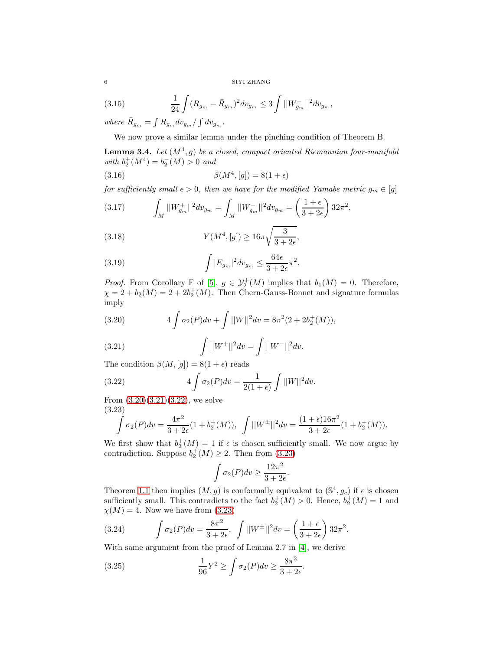$6\,$  SIYI ZHANG

(3.15) 
$$
\frac{1}{24}\int (R_{g_m} - \bar{R}_{g_m})^2 dv_{g_m} \leq 3 \int ||W_{g_m}^-||^2 dv_{g_m},
$$

where  $\bar{R}_{g_m} = \int R_{g_m} dv_{g_m} / \int dv_{g_m}$ .

We now prove a similar lemma under the pinching condition of Theorem B.

**Lemma 3.4.** Let  $(M^4, g)$  be a closed, compact oriented Riemannian four-manifold with  $b_2^+(M^4) = b_2^-(M) > 0$  and

(3.16) 
$$
\beta(M^4, [g]) = 8(1 + \epsilon)
$$

for sufficiently small  $\epsilon > 0$ , then we have for the modified Yamabe metric  $g_m \in [g]$ 

<span id="page-5-4"></span>(3.17) 
$$
\int_M ||W_{g_m}^+||^2 dv_{g_m} = \int_M ||W_{g_m}^-||^2 dv_{g_m} = \left(\frac{1+\epsilon}{3+2\epsilon}\right) 32\pi^2,
$$

<span id="page-5-5"></span>(3.18) 
$$
Y(M^4, [g]) \ge 16\pi \sqrt{\frac{3}{3+2\epsilon}},
$$

<span id="page-5-7"></span>(3.19) 
$$
\int |E_{g_m}|^2 dv_{g_m} \leq \frac{64\epsilon}{3+2\epsilon} \pi^2.
$$

*Proof.* From Corollary F of [\[5\]](#page-10-8),  $g \in \mathcal{Y}_2^+(M)$  implies that  $b_1(M) = 0$ . Therefore,  $\chi = 2 + b_2(M) = 2 + 2b_2^+(M)$ . Then Chern-Gauss-Bonnet and signature formulas imply

<span id="page-5-0"></span>(3.20) 
$$
4 \int \sigma_2(P) dv + \int ||W||^2 dv = 8\pi^2 (2 + 2b_2^+(M)),
$$

<span id="page-5-1"></span>(3.21) 
$$
\int ||W^+||^2 dv = \int ||W^-||^2 dv.
$$

The condition  $\beta(M, [g]) = 8(1 + \epsilon)$  reads

(3.22) 
$$
4 \int \sigma_2(P) dv = \frac{1}{2(1+\epsilon)} \int ||W||^2 dv.
$$

From  $(3.20)(3.21)(3.22)$  $(3.20)(3.21)(3.22)$  $(3.20)(3.21)(3.22)$ , we solve (3.23)

<span id="page-5-3"></span><span id="page-5-2"></span>
$$
\int \sigma_2(P) dv = \frac{4\pi^2}{3+2\epsilon} (1+b_2^+(M)), \quad \int ||W^{\pm}||^2 dv = \frac{(1+\epsilon)16\pi^2}{3+2\epsilon} (1+b_2^+(M)).
$$

We first show that  $b_2^+(M) = 1$  if  $\epsilon$  is chosen sufficiently small. We now argue by contradiction. Suppose  $b_2^+(M) \geq 2$ . Then from [\(3.23\)](#page-5-3)

$$
\int \sigma_2(P) dv \ge \frac{12\pi^2}{3+2\epsilon}.
$$

Theorem [1.1](#page-1-0) then implies  $(M, g)$  is conformally equivalent to  $(\mathbb{S}^4, g_c)$  if  $\epsilon$  is chosen sufficiently small. This contradicts to the fact  $b_2^+(M) > 0$ . Hence,  $b_2^+(M) = 1$  and  $\chi(M) = 4$ . Now we have from [\(3.23\)](#page-5-3)

<span id="page-5-6"></span>(3.24) 
$$
\int \sigma_2(P) dv = \frac{8\pi^2}{3+2\epsilon}, \quad \int ||W^{\pm}||^2 dv = \left(\frac{1+\epsilon}{3+2\epsilon}\right) 32\pi^2.
$$

With same argument from the proof of Lemma 2.7 in [\[4\]](#page-10-1), we derive

(3.25) 
$$
\frac{1}{96}Y^2 \ge \int \sigma_2(P) dv \ge \frac{8\pi^2}{3+2\epsilon}.
$$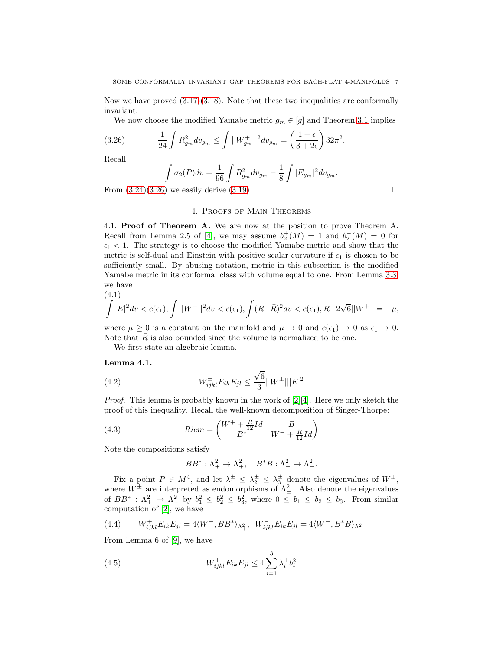Now we have proved  $(3.17)(3.18)$  $(3.17)(3.18)$ . Note that these two inequalities are conformally invariant.

We now choose the modified Yamabe metric  $g_m \in [g]$  and Theorem [3.1](#page-4-0) implies

(3.26) 
$$
\frac{1}{24} \int R_{g_m}^2 dv_{g_m} \le \int ||W_{g_m}^+||^2 dv_{g_m} = \left(\frac{1+\epsilon}{3+2\epsilon}\right) 32\pi^2.
$$

Recall

<span id="page-6-0"></span>
$$
\int \sigma_2(P) dv = \frac{1}{96} \int R_{g_m}^2 dv_{g_m} - \frac{1}{8} \int |E_{g_m}|^2 dv_{g_m}.
$$

From  $(3.24)(3.26)$  $(3.24)(3.26)$  we easily derive  $(3.19)$ .

## 4. Proofs of Main Theorems

4.1. Proof of Theorem A. We are now at the position to prove Theorem A. Recall from Lemma 2.5 of [\[4\]](#page-10-1), we may assume  $b_2^+(M) = 1$  and  $b_2^-(M) = 0$  for  $\epsilon_1$  < 1. The strategy is to choose the modified Yamabe metric and show that the metric is self-dual and Einstein with positive scalar curvature if  $\epsilon_1$  is chosen to be sufficiently small. By abusing notation, metric in this subsection is the modified Yamabe metric in its conformal class with volume equal to one. From Lemma [3.3,](#page-4-1) we have

<span id="page-6-2"></span>
$$
(4.1)
$$
  

$$
\int |E|^2 dv < c(\epsilon_1), \int ||W^-||^2 dv < c(\epsilon_1), \int (R - \bar{R})^2 dv < c(\epsilon_1), R - 2\sqrt{6}||W^+|| = -\mu,
$$

where  $\mu \geq 0$  is a constant on the manifold and  $\mu \to 0$  and  $c(\epsilon_1) \to 0$  as  $\epsilon_1 \to 0$ . Note that  $\overline{R}$  is also bounded since the volume is normalized to be one.

We first state an algebraic lemma.

### Lemma 4.1.

(4.2) 
$$
W_{ijkl}^{\pm} E_{ik} E_{jl} \le \frac{\sqrt{6}}{3} ||W^{\pm}|| |E|^2
$$

*Proof.* This lemma is probably known in the work of  $[2][4]$  $[2][4]$ . Here we only sketch the proof of this inequality. Recall the well-known decomposition of Singer-Thorpe:

(4.3) 
$$
Riem = \begin{pmatrix} W^+ + \frac{R}{12}Id & B \\ B^* & W^- + \frac{R}{12}Id \end{pmatrix}
$$

Note the compositions satisfy

<span id="page-6-1"></span>
$$
BB^* : \Lambda^2_+ \to \Lambda^2_+, \quad B^*B : \Lambda^2_- \to \Lambda^2_-.
$$

Fix a point  $P \in M^4$ , and let  $\lambda_1^{\pm} \leq \lambda_2^{\pm} \leq \lambda_3^{\pm}$  denote the eigenvalues of  $W^{\pm}$ , where  $W^{\pm}$  are interpreted as endomorphisms of  $\Lambda_{\pm}^{2}$ . Also denote the eigenvalues of  $BB^*$ :  $\Lambda^2_+$   $\to \Lambda^2_+$  by  $b_1^2 \leq b_2^2 \leq b_3^2$ , where  $0 \leq b_1 \leq b_2 \leq b_3$ . From similar computation of [\[2\]](#page-10-2), we have

(4.4) 
$$
W_{ijkl}^+ E_{ik} E_{jl} = 4 \langle W^+, BB^* \rangle_{\Lambda_+^2}, W_{ijkl}^- E_{ik} E_{jl} = 4 \langle W^-, B^* B \rangle_{\Lambda_-^2}
$$

From Lemma 6 of [\[9\]](#page-10-9), we have

(4.5) 
$$
W_{ijkl}^{\pm} E_{ik} E_{jl} \le 4 \sum_{i=1}^{3} \lambda_i^{\pm} b_i^2
$$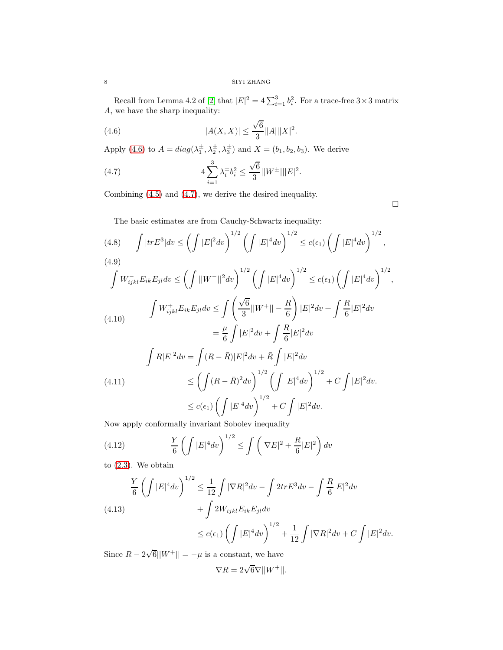Recall from Lemma 4.2 of [\[2\]](#page-10-2) that  $|E|^2 = 4 \sum_{i=1}^3 b_i^2$ . For a trace-free  $3 \times 3$  matrix A, we have the sharp inequality:

<span id="page-7-0"></span>(4.6) 
$$
|A(X,X)| \le \frac{\sqrt{6}}{3} ||A|| ||X||^2.
$$

Apply [\(4.6\)](#page-7-0) to  $A = diag(\lambda_1^{\pm}, \lambda_2^{\pm}, \lambda_3^{\pm})$  and  $X = (b_1, b_2, b_3)$ . We derive

<span id="page-7-1"></span>(4.7) 
$$
4\sum_{i=1}^{3}\lambda_i^{\pm}b_i^2 \leq \frac{\sqrt{6}}{3}||W^{\pm}|||E|^2.
$$

Combining [\(4.5\)](#page-6-1) and [\(4.7\)](#page-7-1), we derive the desired inequality.

 $\hfill \square$ 

The basic estimates are from Cauchy-Schwartz inequality:

<span id="page-7-2"></span>
$$
(4.8) \int |tr E^{3}| dv \leq \left(\int |E|^{2} dv\right)^{1/2} \left(\int |E|^{4} dv\right)^{1/2} \leq c(\epsilon_{1}) \left(\int |E|^{4} dv\right)^{1/2},
$$
\n
$$
(4.9) \int W_{ijkl}^{-} E_{ik} E_{jl} dv \leq \left(\int ||W^{-}||^{2} dv\right)^{1/2} \left(\int |E|^{4} dv\right)^{1/2} \leq c(\epsilon_{1}) \left(\int |E|^{4} dv\right)^{1/2},
$$
\n
$$
\int W_{ijkl}^{+} E_{ik} E_{jl} dv \leq \int \left(\frac{\sqrt{6}}{3} ||W^{+}|| - \frac{R}{6}\right) |E|^{2} dv + \int \frac{R}{6} |E|^{2} dv
$$
\n
$$
= \frac{\mu}{6} \int |E|^{2} dv + \int \frac{R}{6} |E|^{2} dv
$$
\n
$$
\int R |E|^{2} dv = \int (R - \bar{R}) |E|^{2} dv + \bar{R} \int |E|^{2} dv
$$
\n
$$
(4.11) \leq \left(\int (R - \bar{R})^{2} dv\right)^{1/2} \left(\int |E|^{4} dv\right)^{1/2} + C \int |E|^{2} dv.
$$
\n
$$
\leq c(\epsilon_{1}) \left(\int |E|^{4} dv\right)^{1/2} + C \int |E|^{2} dv.
$$

<span id="page-7-3"></span>Now apply conformally invariant Sobolev inequality

(4.12) 
$$
\frac{Y}{6} \left( \int |E|^4 dv \right)^{1/2} \le \int \left( |\nabla E|^2 + \frac{R}{6} |E|^2 \right) dv
$$

to [\(2.3\)](#page-2-1). We obtain

<span id="page-7-4"></span>(4.13)  
\n
$$
\frac{Y}{6} \left( \int |E|^4 dv \right)^{1/2} \le \frac{1}{12} \int |\nabla R|^2 dv - \int 2tr E^3 dv - \int \frac{R}{6} |E|^2 dv
$$
\n
$$
+ \int 2W_{ijkl} E_{ik} E_{jl} dv
$$
\n
$$
\le c(\epsilon_1) \left( \int |E|^4 dv \right)^{1/2} + \frac{1}{12} \int |\nabla R|^2 dv + C \int |E|^2 dv.
$$

Since  $R - 2\sqrt{6}||W^+|| = -\mu$  is a constant, we have

$$
\nabla R = 2\sqrt{6}\nabla ||W^+||.
$$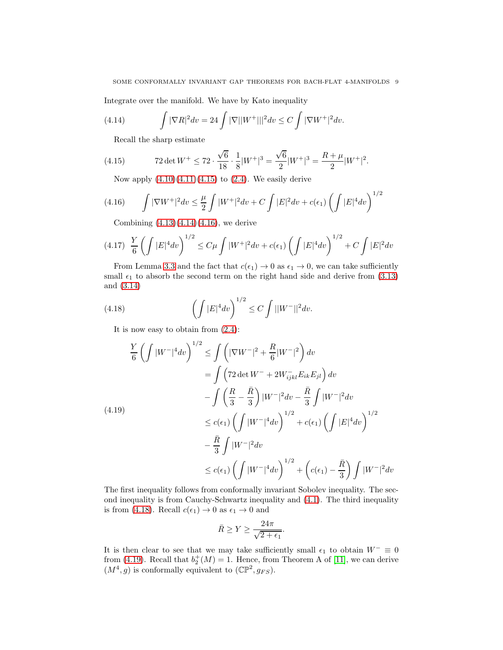Integrate over the manifold. We have by Kato inequality

(4.14) 
$$
\int |\nabla R|^2 dv = 24 \int |\nabla||W^+|||^2 dv \le C \int |\nabla W^+|^2 dv.
$$

<span id="page-8-1"></span><span id="page-8-0"></span>Recall the sharp estimate

(4.15) 
$$
72 \det W^{+} \le 72 \cdot \frac{\sqrt{6}}{18} \cdot \frac{1}{8} |W^{+}|^{3} = \frac{\sqrt{6}}{2} |W^{+}|^{3} = \frac{R + \mu}{2} |W^{+}|^{2}.
$$

<span id="page-8-2"></span>Now apply  $(4.10)(4.11)(4.15)$  $(4.10)(4.11)(4.15)$  $(4.10)(4.11)(4.15)$  to  $(2.4)$ . We easily derive

(4.16) 
$$
\int |\nabla W^+|^2 dv \leq \frac{\mu}{2} \int |W^+|^2 dv + C \int |E|^2 dv + c(\epsilon_1) \left( \int |E|^4 dv \right)^{1/2}
$$

Combining  $(4.13)(4.14)(4.16)$  $(4.13)(4.14)(4.16)$  $(4.13)(4.14)(4.16)$ , we derive

$$
(4.17)\ \ \frac{Y}{6}\left(\int|E|^4dv\right)^{1/2}\leq C\mu\int|W^+|^2dv+c(\epsilon_1)\left(\int|E|^4dv\right)^{1/2}+C\int|E|^2dv
$$

From Lemma [3.3](#page-4-1) and the fact that  $c(\epsilon_1) \to 0$  as  $\epsilon_1 \to 0$ , we can take sufficiently small  $\epsilon_1$  to absorb the second term on the right hand side and derive from [\(3.13\)](#page-4-2) and [\(3.14\)](#page-4-3)

(4.18) 
$$
\left(\int |E|^4 dv\right)^{1/2} \leq C \int ||W^-||^2 dv.
$$

<span id="page-8-3"></span>It is now easy to obtain from [\(2.4\)](#page-2-2):

<span id="page-8-4"></span>
$$
\frac{Y}{6} \left( \int |W^{-}|^4 dv \right)^{1/2} \leq \int \left( |\nabla W^{-}|^2 + \frac{R}{6} |W^{-}|^2 \right) dv
$$
\n
$$
= \int \left( 72 \det W^{-} + 2W_{ijkl}^{-} E_{ik} E_{jl} \right) dv
$$
\n
$$
- \int \left( \frac{R}{3} - \frac{\bar{R}}{3} \right) |W^{-}|^2 dv - \frac{\bar{R}}{3} \int |W^{-}|^2 dv
$$
\n
$$
\leq c(\epsilon_1) \left( \int |W^{-}|^4 dv \right)^{1/2} + c(\epsilon_1) \left( \int |E|^{4} dv \right)^{1/2}
$$
\n
$$
- \frac{\bar{R}}{3} \int |W^{-}|^2 dv
$$
\n
$$
\leq c(\epsilon_1) \left( \int |W^{-}|^4 dv \right)^{1/2} + \left( c(\epsilon_1) - \frac{\bar{R}}{3} \right) \int |W^{-}|^2 dv
$$

The first inequality follows from conformally invariant Sobolev inequality. The second inequality is from Cauchy-Schwartz inequality and [\(4.1\)](#page-6-2). The third inequality is from [\(4.18\)](#page-8-3). Recall  $c(\epsilon_1) \to 0$  as  $\epsilon_1 \to 0$  and

$$
\bar{R} \ge Y \ge \frac{24\pi}{\sqrt{2 + \epsilon_1}}.
$$

It is then clear to see that we may take sufficiently small  $\epsilon_1$  to obtain  $W^- \equiv 0$ from [\(4.19\)](#page-8-4). Recall that  $b_2^+(M) = 1$ . Hence, from Theorem A of [\[11\]](#page-10-10), we can derive  $(M^4, g)$  is conformally equivalent to  $(\mathbb{CP}^2, g_{FS})$ .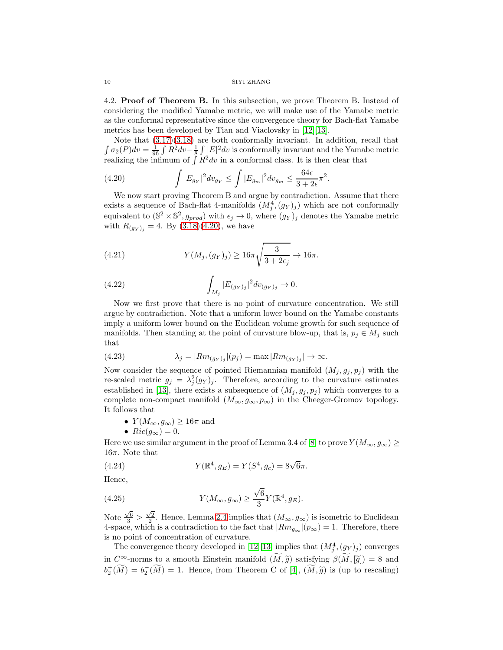#### 10 SIYI ZHANG

4.2. Proof of Theorem B. In this subsection, we prove Theorem B. Instead of considering the modified Yamabe metric, we will make use of the Yamabe metric as the conformal representative since the convergence theory for Bach-flat Yamabe metrics has been developed by Tian and Viaclovsky in [\[12\]](#page-10-5)[\[13\]](#page-10-6).

Note that [\(3.17\)](#page-5-4)[\(3.18\)](#page-5-5) are both conformally invariant. In addition, recall that  $\int \sigma_2(P) dv = \frac{1}{96} \int \hat{R}^2 dv - \frac{1}{8} \int |E|^2 dv$  is conformally invariant and the Yamabe metric realizing the infimum of  $\int R^2 dv$  in a conformal class. It is then clear that

<span id="page-9-0"></span>(4.20) 
$$
\int |E_{g_Y}|^2 dv_{g_Y} \le \int |E_{g_m}|^2 dv_{g_m} \le \frac{64\epsilon}{3+2\epsilon} \pi^2.
$$

We now start proving Theorem B and argue by contradiction. Assume that there exists a sequence of Bach-flat 4-manifolds  $(M_j^4, (g_Y)_j)$  which are not conformally equivalent to  $(\mathbb{S}^2 \times \mathbb{S}^2, g_{prod})$  with  $\epsilon_j \to 0$ , where  $(g_Y)_j$  denotes the Yamabe metric with  $R_{(g_Y)_i} = 4$ . By  $(3.18)(4.20)$  $(3.18)(4.20)$ , we have

(4.21) 
$$
Y(M_j, (g_Y)_j) \ge 16\pi \sqrt{\frac{3}{3 + 2\epsilon_j}} \to 16\pi.
$$

(4.22) 
$$
\int_{M_j} |E_{(g_Y)_j}|^2 dv_{(g_Y)_j} \to 0.
$$

Now we first prove that there is no point of curvature concentration. We still argue by contradiction. Note that a uniform lower bound on the Yamabe constants imply a uniform lower bound on the Euclidean volume growth for such sequence of manifolds. Then standing at the point of curvature blow-up, that is,  $p_j \in M_j$  such that

(4.23) 
$$
\lambda_j = |Rm_{(g_Y)_j}|(p_j) = \max |Rm_{(g_Y)_j}| \to \infty.
$$

Now consider the sequence of pointed Riemannian manifold  $(M_i, g_i, p_i)$  with the re-scaled metric  $g_j = \lambda_j^2 (g_Y)_j$ . Therefore, according to the curvature estimates established in [\[13\]](#page-10-6), there exists a subsequence of  $(M_j, g_j, p_j)$  which converges to a complete non-compact manifold  $(M_{\infty}, g_{\infty}, p_{\infty})$  in the Cheeger-Gromov topology. It follows that

- $Y(M_\infty, g_\infty) \geq 16\pi$  and
- $Ric(g_{\infty})=0.$

Here we use similar argument in the proof of Lemma 3.4 of [\[8\]](#page-10-3) to prove  $Y(M_{\infty}, g_{\infty}) \geq$ 16π. Note that

(4.24) 
$$
Y(\mathbb{R}^4, g_E) = Y(S^4, g_c) = 8\sqrt{6}\pi.
$$

Hence,

(4.25) 
$$
Y(M_{\infty}, g_{\infty}) \ge \frac{\sqrt{6}}{3} Y(\mathbb{R}^4, g_E).
$$

Note  $\frac{\sqrt{6}}{3} > \frac{\sqrt{2}}{2}$ . Hence, Lemma [2.4](#page-3-0) implies that  $(M_{\infty}, g_{\infty})$  is isometric to Euclidean 4-space, which is a contradiction to the fact that  $|Rm_{g_{\infty}}|(p_{\infty})=1$ . Therefore, there is no point of concentration of curvature.

The convergence theory developed in [\[12\]](#page-10-5)[\[13\]](#page-10-6) implies that  $(M_j^4, (g_Y)_j)$  converges in  $C^{\infty}$ -norms to a smooth Einstein manifold  $(\widetilde{M}, \widetilde{g})$  satisfying  $\beta(\widetilde{M}, [\widetilde{g}]) = 8$  and  $b_2^+(\widetilde{M}) = b_2^-(\widetilde{M}) = 1$ . Hence, from Theorem C of [\[4\]](#page-10-1),  $(\widetilde{M}, \widetilde{g})$  is (up to rescaling)